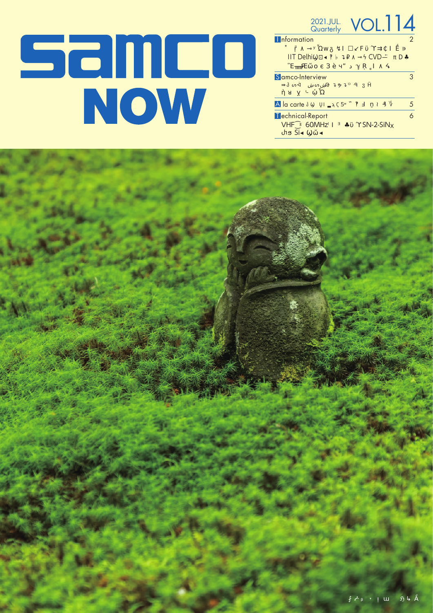## **Samco**<br>Now

| 2021.JUL.<br>Quarterly                        | $\overline{\bigcirc}$ |   |
|-----------------------------------------------|-----------------------|---|
| <b>nformation</b>                             |                       |   |
| <b>IIT Delhi</b>                              | <b>CVD</b>            |   |
| Samco-Interview                               |                       | 3 |
| À la carte                                    | 5                     | 5 |
| Technical-Report<br>60MHz<br><b>VHF</b><br>ςi | $SN-2-SiNx$           |   |